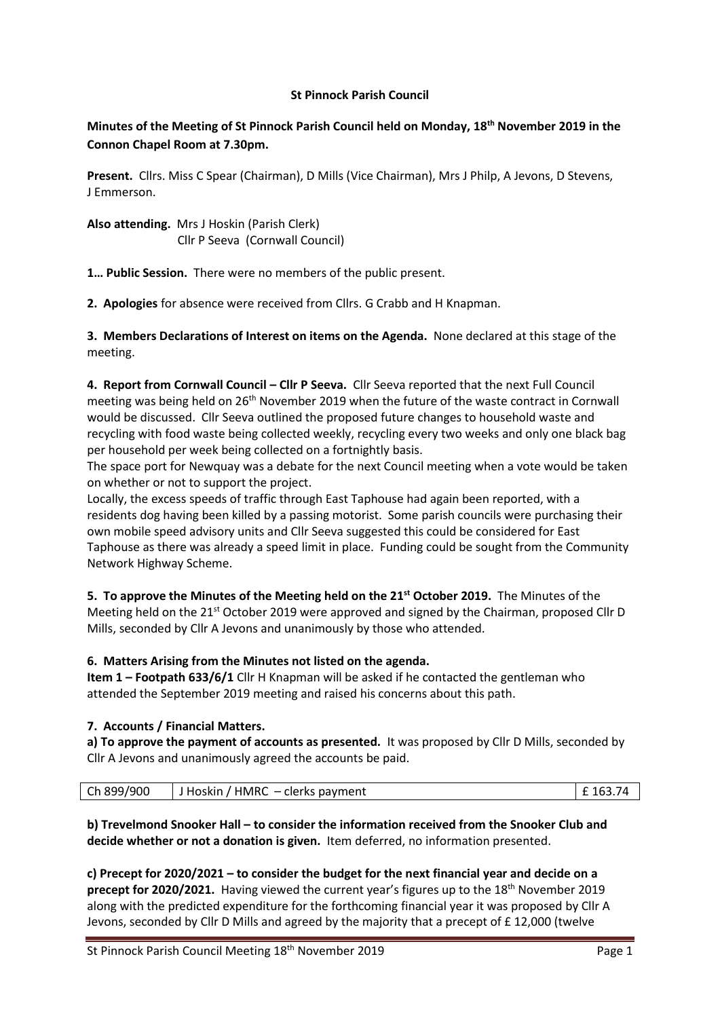### **St Pinnock Parish Council**

# **Minutes of the Meeting of St Pinnock Parish Council held on Monday, 18th November 2019 in the Connon Chapel Room at 7.30pm.**

**Present.** Cllrs. Miss C Spear (Chairman), D Mills (Vice Chairman), Mrs J Philp, A Jevons, D Stevens, J Emmerson.

**Also attending.** Mrs J Hoskin (Parish Clerk) Cllr P Seeva (Cornwall Council)

**1… Public Session.** There were no members of the public present.

**2. Apologies** for absence were received from Cllrs. G Crabb and H Knapman.

**3. Members Declarations of Interest on items on the Agenda.** None declared at this stage of the meeting.

**4. Report from Cornwall Council – Cllr P Seeva.** Cllr Seeva reported that the next Full Council meeting was being held on 26<sup>th</sup> November 2019 when the future of the waste contract in Cornwall would be discussed. Cllr Seeva outlined the proposed future changes to household waste and recycling with food waste being collected weekly, recycling every two weeks and only one black bag per household per week being collected on a fortnightly basis.

The space port for Newquay was a debate for the next Council meeting when a vote would be taken on whether or not to support the project.

Locally, the excess speeds of traffic through East Taphouse had again been reported, with a residents dog having been killed by a passing motorist. Some parish councils were purchasing their own mobile speed advisory units and Cllr Seeva suggested this could be considered for East Taphouse as there was already a speed limit in place. Funding could be sought from the Community Network Highway Scheme.

**5. To approve the Minutes of the Meeting held on the 21st October 2019.** The Minutes of the Meeting held on the 21<sup>st</sup> October 2019 were approved and signed by the Chairman, proposed Cllr D Mills, seconded by Cllr A Jevons and unanimously by those who attended.

## **6. Matters Arising from the Minutes not listed on the agenda.**

**Item 1 – Footpath 633/6/1** Cllr H Knapman will be asked if he contacted the gentleman who attended the September 2019 meeting and raised his concerns about this path.

## **7. Accounts / Financial Matters.**

**a) To approve the payment of accounts as presented.** It was proposed by Cllr D Mills, seconded by Cllr A Jevons and unanimously agreed the accounts be paid.

| Ch 899/900 |  |  | <b>HMRC</b><br>clerks payment<br>l Hoskin<br>$ -$ |  |
|------------|--|--|---------------------------------------------------|--|
|------------|--|--|---------------------------------------------------|--|

**b) Trevelmond Snooker Hall – to consider the information received from the Snooker Club and decide whether or not a donation is given.** Item deferred, no information presented.

**c) Precept for 2020/2021 – to consider the budget for the next financial year and decide on a**  precept for 2020/2021. Having viewed the current year's figures up to the 18<sup>th</sup> November 2019 along with the predicted expenditure for the forthcoming financial year it was proposed by Cllr A Jevons, seconded by Cllr D Mills and agreed by the majority that a precept of £ 12,000 (twelve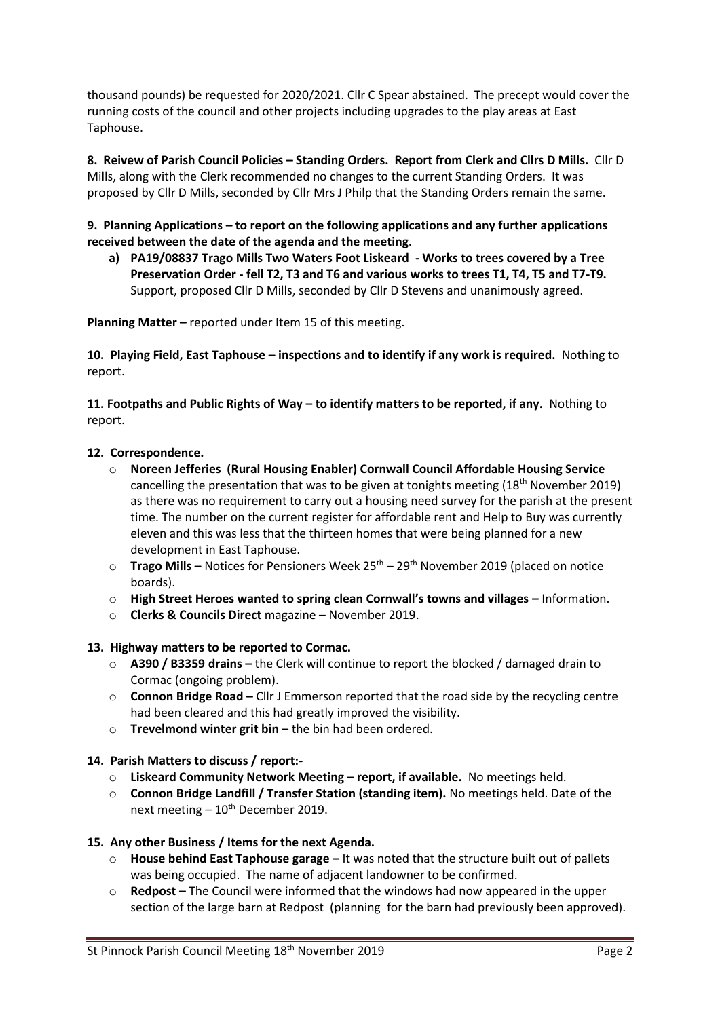thousand pounds) be requested for 2020/2021. Cllr C Spear abstained. The precept would cover the running costs of the council and other projects including upgrades to the play areas at East Taphouse.

**8. Reivew of Parish Council Policies – Standing Orders. Report from Clerk and Cllrs D Mills.** Cllr D Mills, along with the Clerk recommended no changes to the current Standing Orders. It was proposed by Cllr D Mills, seconded by Cllr Mrs J Philp that the Standing Orders remain the same.

**9. Planning Applications – to report on the following applications and any further applications received between the date of the agenda and the meeting.**

**a) PA19/08837 Trago Mills Two Waters Foot Liskeard - Works to trees covered by a Tree Preservation Order - fell T2, T3 and T6 and various works to trees T1, T4, T5 and T7-T9.**  Support, proposed Cllr D Mills, seconded by Cllr D Stevens and unanimously agreed.

**Planning Matter –** reported under Item 15 of this meeting.

**10. Playing Field, East Taphouse – inspections and to identify if any work is required.** Nothing to report.

**11. Footpaths and Public Rights of Way – to identify matters to be reported, if any.** Nothing to report.

#### **12. Correspondence.**

- o **Noreen Jefferies (Rural Housing Enabler) Cornwall Council Affordable Housing Service**  cancelling the presentation that was to be given at tonights meeting  $(18<sup>th</sup>$  November 2019) as there was no requirement to carry out a housing need survey for the parish at the present time. The number on the current register for affordable rent and Help to Buy was currently eleven and this was less that the thirteen homes that were being planned for a new development in East Taphouse.
- o **Trago Mills –** Notices for Pensioners Week 25th 29th November 2019 (placed on notice boards).
- o **High Street Heroes wanted to spring clean Cornwall's towns and villages –** Information.
- o **Clerks & Councils Direct** magazine November 2019.

## **13. Highway matters to be reported to Cormac.**

- o **A390 / B3359 drains –** the Clerk will continue to report the blocked / damaged drain to Cormac (ongoing problem).
- o **Connon Bridge Road –** Cllr J Emmerson reported that the road side by the recycling centre had been cleared and this had greatly improved the visibility.
- o **Trevelmond winter grit bin –** the bin had been ordered.

#### **14. Parish Matters to discuss / report:-**

- o **Liskeard Community Network Meeting – report, if available.** No meetings held.
- o **Connon Bridge Landfill / Transfer Station (standing item).** No meetings held. Date of the next meeting  $-10^{th}$  December 2019.

#### **15. Any other Business / Items for the next Agenda.**

- o **House behind East Taphouse garage –** It was noted that the structure built out of pallets was being occupied. The name of adjacent landowner to be confirmed.
- Redpost The Council were informed that the windows had now appeared in the upper section of the large barn at Redpost (planning for the barn had previously been approved).